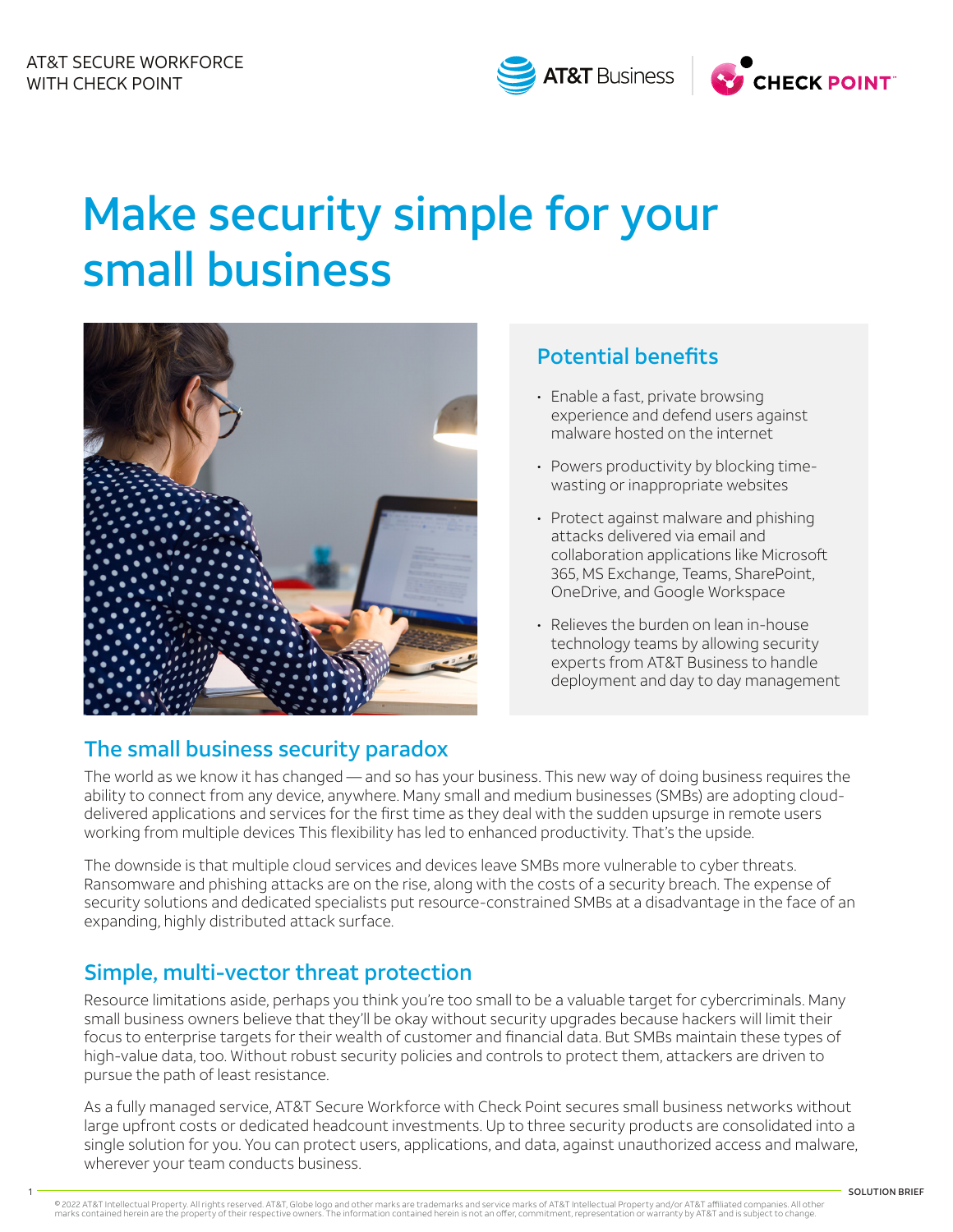



# Make security simple for your small business



## Potential benefits

- Enable a fast, private browsing experience and defend users against malware hosted on the internet
- Powers productivity by blocking timewasting or inappropriate websites
- Protect against malware and phishing attacks delivered via email and collaboration applications like Microsoft 365, MS Exchange, Teams, SharePoint, OneDrive, and Google Workspace
- Relieves the burden on lean in-house technology teams by allowing security experts from AT&T Business to handle deployment and day to day management

### The small business security paradox

The world as we know it has changed — and so has your business. This new way of doing business requires the ability to connect from any device, anywhere. Many small and medium businesses (SMBs) are adopting clouddelivered applications and services for the first time as they deal with the sudden upsurge in remote users working from multiple devices This flexibility has led to enhanced productivity. That's the upside.

The downside is that multiple cloud services and devices leave SMBs more vulnerable to cyber threats. Ransomware and phishing attacks are on the rise, along with the costs of a security breach. The expense of security solutions and dedicated specialists put resource-constrained SMBs at a disadvantage in the face of an expanding, highly distributed attack surface.

## Simple, multi-vector threat protection

Resource limitations aside, perhaps you think you're too small to be a valuable target for cybercriminals. Many small business owners believe that they'll be okay without security upgrades because hackers will limit their focus to enterprise targets for their wealth of customer and financial data. But SMBs maintain these types of high-value data, too. Without robust security policies and controls to protect them, attackers are driven to pursue the path of least resistance.

As a fully managed service, AT&T Secure Workforce with Check Point secures small business networks without large upfront costs or dedicated headcount investments. Up to three security products are consolidated into a single solution for you. You can protect users, applications, and data, against unauthorized access and malware, wherever your team conducts business.